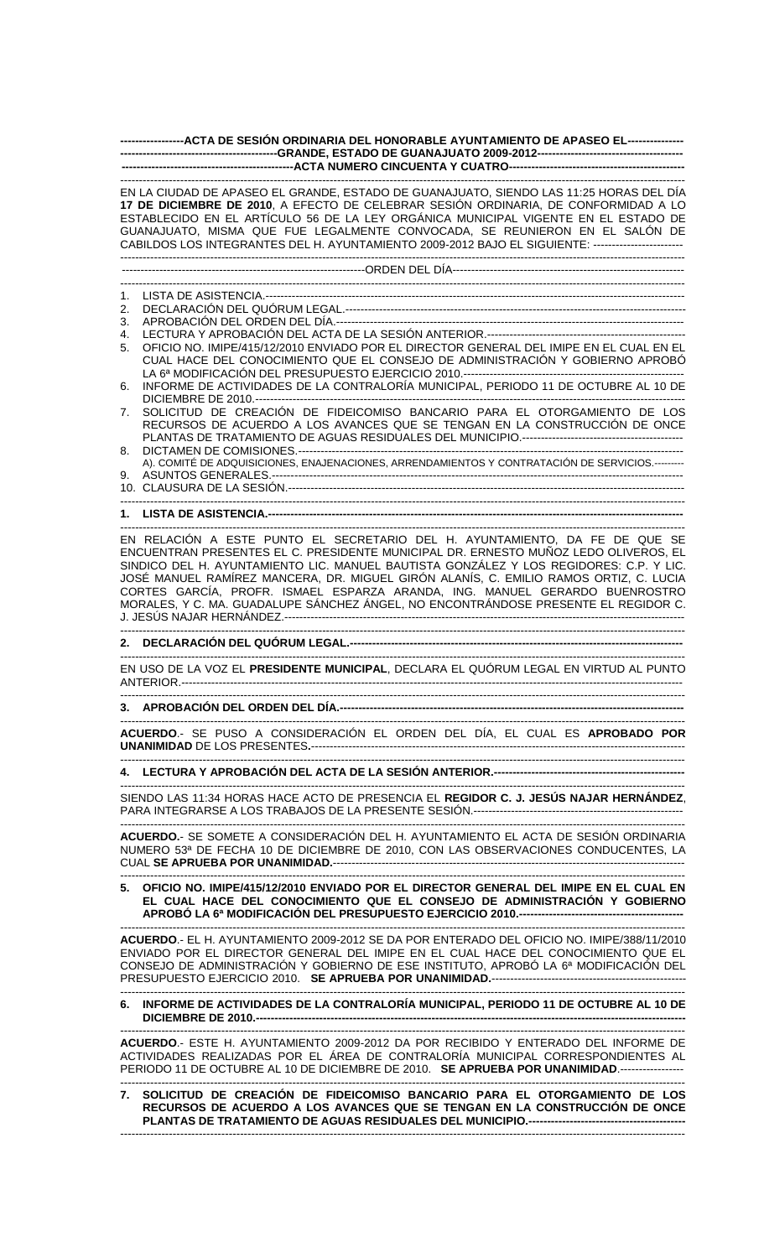|                                                                                                                                                                                                                                                                                                                                                                                                                                                                                                                            | -----------------ACTA DE SESIÓN ORDINARIA DEL HONORABLE AYUNTAMIENTO DE APASEO EL---------------                                                                                                                                                                                                                                                                                                                                                                                                                              |
|----------------------------------------------------------------------------------------------------------------------------------------------------------------------------------------------------------------------------------------------------------------------------------------------------------------------------------------------------------------------------------------------------------------------------------------------------------------------------------------------------------------------------|-------------------------------------------------------------------------------------------------------------------------------------------------------------------------------------------------------------------------------------------------------------------------------------------------------------------------------------------------------------------------------------------------------------------------------------------------------------------------------------------------------------------------------|
| EN LA CIUDAD DE APASEO EL GRANDE, ESTADO DE GUANAJUATO, SIENDO LAS 11:25 HORAS DEL DÍA<br>17 DE DICIEMBRE DE 2010, A EFECTO DE CELEBRAR SESIÓN ORDINARIA, DE CONFORMIDAD A LO<br>ESTABLECIDO EN EL ARTÍCULO 56 DE LA LEY ORGÁNICA MUNICIPAL VIGENTE EN EL ESTADO DE<br>GUANAJUATO, MISMA QUE FUE LEGALMENTE CONVOCADA, SE REUNIERON EN EL SALÓN DE<br>CABILDOS LOS INTEGRANTES DEL H. AYUNTAMIENTO 2009-2012 BAJO EL SIGUIENTE: -------------------------                                                                  |                                                                                                                                                                                                                                                                                                                                                                                                                                                                                                                               |
|                                                                                                                                                                                                                                                                                                                                                                                                                                                                                                                            |                                                                                                                                                                                                                                                                                                                                                                                                                                                                                                                               |
| 1.<br>2.<br>3.<br>4.<br>5.<br>6.<br>7.<br>8.<br>9.                                                                                                                                                                                                                                                                                                                                                                                                                                                                         | OFICIO NO. IMIPE/415/12/2010 ENVIADO POR EL DIRECTOR GENERAL DEL IMIPE EN EL CUAL EN EL<br>CUAL HACE DEL CONOCIMIENTO QUE EL CONSEJO DE ADMINISTRACIÓN Y GOBIERNO APROBÓ<br>INFORME DE ACTIVIDADES DE LA CONTRALORÍA MUNICIPAL, PERIODO 11 DE OCTUBRE AL 10 DE<br>SOLICITUD DE CREACIÓN DE FIDEICOMISO BANCARIO PARA EL OTORGAMIENTO DE LOS<br>RECURSOS DE ACUERDO A LOS AVANCES QUE SE TENGAN EN LA CONSTRUCCIÓN DE ONCE<br>A). COMITÉ DE ADQUISICIONES, ENAJENACIONES, ARRENDAMIENTOS Y CONTRATACIÓN DE SERVICIOS.--------- |
|                                                                                                                                                                                                                                                                                                                                                                                                                                                                                                                            |                                                                                                                                                                                                                                                                                                                                                                                                                                                                                                                               |
| EN RELACIÓN A ESTE PUNTO EL SECRETARIO DEL H. AYUNTAMIENTO, DA FE DE QUE SE<br>ENCUENTRAN PRESENTES EL C. PRESIDENTE MUNICIPAL DR. ERNESTO MUÑOZ LEDO OLIVEROS, EL<br>SINDICO DEL H. AYUNTAMIENTO LIC. MANUEL BAUTISTA GONZÁLEZ Y LOS REGIDORES: C.P. Y LIC.<br>JOSÉ MANUEL RAMÍREZ MANCERA, DR. MIGUEL GIRÓN ALANÍS, C. EMILIO RAMOS ORTIZ, C. LUCIA<br>CORTES GARCÍA, PROFR. ISMAEL ESPARZA ARANDA, ING. MANUEL GERARDO BUENROSTRO<br>MORALES, Y C. MA. GUADALUPE SÁNCHEZ ÁNGEL, NO ENCONTRÁNDOSE PRESENTE EL REGIDOR C. |                                                                                                                                                                                                                                                                                                                                                                                                                                                                                                                               |
|                                                                                                                                                                                                                                                                                                                                                                                                                                                                                                                            |                                                                                                                                                                                                                                                                                                                                                                                                                                                                                                                               |
|                                                                                                                                                                                                                                                                                                                                                                                                                                                                                                                            | EN USO DE LA VOZ EL PRESIDENTE MUNICIPAL, DECLARA EL QUÓRUM LEGAL EN VIRTUD AL PUNTO                                                                                                                                                                                                                                                                                                                                                                                                                                          |
|                                                                                                                                                                                                                                                                                                                                                                                                                                                                                                                            |                                                                                                                                                                                                                                                                                                                                                                                                                                                                                                                               |
| ACUERDO.- SE PUSO A CONSIDERACIÓN EL ORDEN DEL DÍA, EL CUAL ES APROBADO POR                                                                                                                                                                                                                                                                                                                                                                                                                                                |                                                                                                                                                                                                                                                                                                                                                                                                                                                                                                                               |
|                                                                                                                                                                                                                                                                                                                                                                                                                                                                                                                            |                                                                                                                                                                                                                                                                                                                                                                                                                                                                                                                               |
|                                                                                                                                                                                                                                                                                                                                                                                                                                                                                                                            | CIENDO LAS 44.24 HODAS HACE ACTO DE PRESENCIA EL <b>REGIDOR O LUFOÚS NA LAR HERNÁNDEZ</b>                                                                                                                                                                                                                                                                                                                                                                                                                                     |

SIENDO LAS 11:34 HORAS HACE ACTO DE PRESENCIA EL **REGIDOR C. J. JESÚS NAJAR HERNÁNDEZ**, PARA INTEGRARSE A LOS TRABAJOS DE LA PRESENTE SESIÓN.--------------------------------------------------------

------------------------------------------------------------------------------------------------------------------------------------------------------- **ACUERDO.**- SE SOMETE A CONSIDERACIÓN DEL H. AYUNTAMIENTO EL ACTA DE SESIÓN ORDINARIA NUMERO 53ª DE FECHA 10 DE DICIEMBRE DE 2010, CON LAS OBSERVACIONES CONDUCENTES, LA CUAL **SE APRUEBA POR UNANIMIDAD.**----------------------------------------------------------------------------------------------

------------------------------------------------------------------------------------------------------------------------------------------------------- **5. OFICIO NO. IMIPE/415/12/2010 ENVIADO POR EL DIRECTOR GENERAL DEL IMIPE EN EL CUAL EN EL CUAL HACE DEL CONOCIMIENTO QUE EL CONSEJO DE ADMINISTRACIÓN Y GOBIERNO APROBÓ LA 6ª MODIFICACIÓN DEL PRESUPUESTO EJERCICIO 2010.--------------------------------------------**

------------------------------------------------------------------------------------------------------------------------------------------------------- **ACUERDO**.- EL H. AYUNTAMIENTO 2009-2012 SE DA POR ENTERADO DEL OFICIO NO. IMIPE/388/11/2010 ENVIADO POR EL DIRECTOR GENERAL DEL IMIPE EN EL CUAL HACE DEL CONOCIMIENTO QUE EL CONSEJO DE ADMINISTRACIÓN Y GOBIERNO DE ESE INSTITUTO, APROBÓ LA 6ª MODIFICACIÓN DEL PRESUPUESTO EJERCICIO 2010. **SE APRUEBA POR UNANIMIDAD.**----------------------------------------------------

## ------------------------------------------------------------------------------------------------------------------------------------------------------- **6. INFORME DE ACTIVIDADES DE LA CONTRALORÍA MUNICIPAL, PERIODO 11 DE OCTUBRE AL 10 DE DICIEMBRE DE 2010.-----------------**

------------------------------------------------------------------------------------------------------------------------------------------------------- **ACUERDO**.- ESTE H. AYUNTAMIENTO 2009-2012 DA POR RECIBIDO Y ENTERADO DEL INFORME DE ACTIVIDADES REALIZADAS POR EL ÁREA DE CONTRALORÍA MUNICIPAL CORRESPONDIENTES AL PERIODO 11 DE OCTUBRE AL 10 DE DICIEMBRE DE 2010. **SE APRUEBA POR UNANIMIDAD**.-----------------

------------------------------------------------------------------------------------------------------------------------------------------------------- **7. SOLICITUD DE CREACIÓN DE FIDEICOMISO BANCARIO PARA EL OTORGAMIENTO DE LOS RECURSOS DE ACUERDO A LOS AVANCES QUE SE TENGAN EN LA CONSTRUCCIÓN DE ONCE PLANTAS DE TRATAMIENTO DE AGUAS RESIDUALES DEL MUNICIPIO.---**-------------------------------------------------------------------------------------------------------------------------------------------------------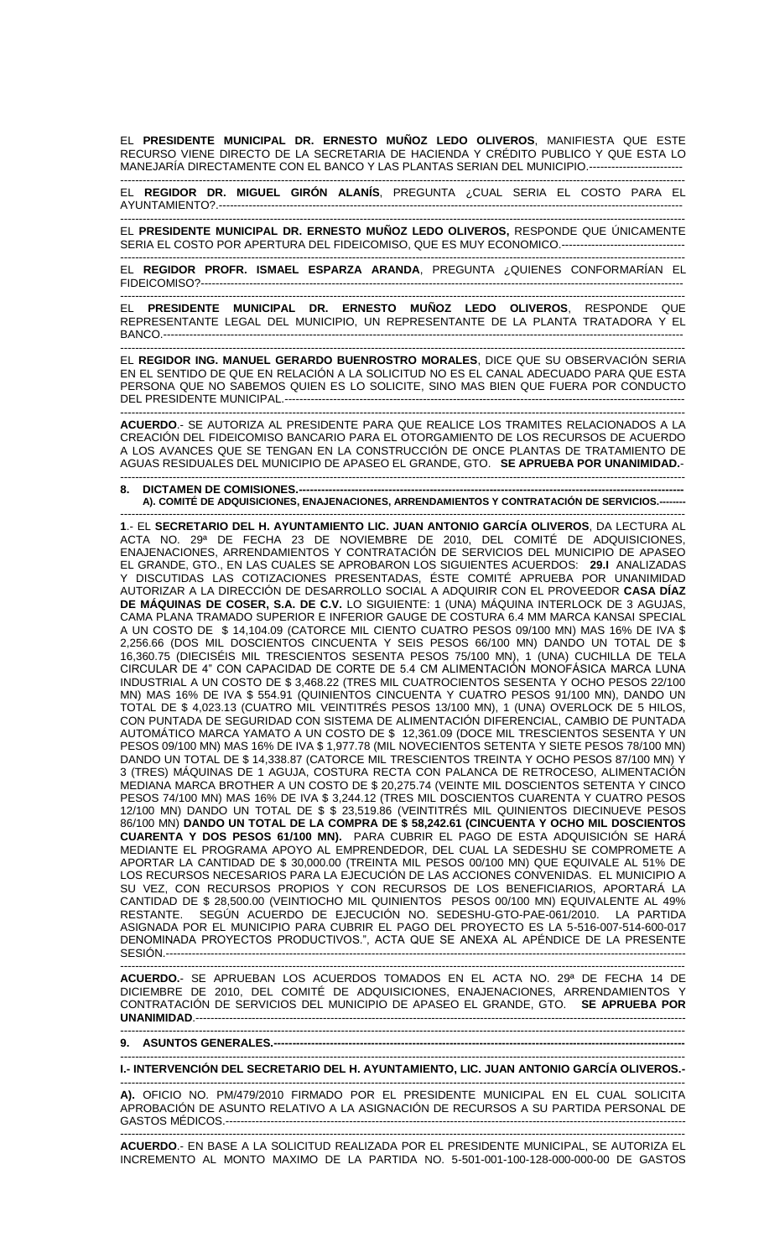EL **PRESIDENTE MUNICIPAL DR. ERNESTO MUÑOZ LEDO OLIVEROS**, MANIFIESTA QUE ESTE RECURSO VIENE DIRECTO DE LA SECRETARIA DE HACIENDA Y CRÉDITO PUBLICO Y QUE ESTA LO MANEJARÍA DIRECTAMENTE CON EL BANCO Y LAS PLANTAS SERIAN DEL MUNICIPIO.-------------------------

------------------------------------------------------------------------------------------------------------------------------------------------------- EL **REGIDOR DR. MIGUEL GIRÓN ALANÍS**, PREGUNTA ¿CUAL SERIA EL COSTO PARA EL AYUNTAMIENTO?.----------------------------------------------------------------------------------------------------------------------------

------------------------------------------------------------------------------------------------------------------------------------------------------- EL **PRESIDENTE MUNICIPAL DR. ERNESTO MUÑOZ LEDO OLIVEROS,** RESPONDE QUE ÚNICAMENTE SERIA EL COSTO POR APERTURA DEL FIDEICOMISO, QUE ES MUY ECONOMICO.----------------------------

------------------------------------------------------------------------------------------------------------------------------------------------------- EL **REGIDOR PROFR. ISMAEL ESPARZA ARANDA**, PREGUNTA ¿QUIENES CONFORMARÍAN EL FIDEICOMISO?---------------------------------------------------------------------------------------------------------------------------------

------------------------------------------------------------------------------------------------------------------------------------------------------- EL **PRESIDENTE MUNICIPAL DR. ERNESTO MUÑOZ LEDO OLIVEROS**, RESPONDE QUE REPRESENTANTE LEGAL DEL MUNICIPIO, UN REPRESENTANTE DE LA PLANTA TRATADORA Y EL BANCO.-------------------------------------------------------------------------------------------------------------------------------------------

------------------------------------------------------------------------------------------------------------------------------------------------------- EL **REGIDOR ING. MANUEL GERARDO BUENROSTRO MORALES**, DICE QUE SU OBSERVACIÓN SERIA EN EL SENTIDO DE QUE EN RELACIÓN A LA SOLICITUD NO ES EL CANAL ADECUADO PARA QUE ESTA PERSONA QUE NO SABEMOS QUIEN ES LO SOLICITE, SINO MAS BIEN QUE FUERA POR CONDUCTO DEL PRESIDENTE MUNICIPAL.-----------------------------------------------------------------------------------------------------------

------------------------------------------------------------------------------------------------------------------------------------------------------- **ACUERDO**.- SE AUTORIZA AL PRESIDENTE PARA QUE REALICE LOS TRAMITES RELACIONADOS A LA CREACIÓN DEL FIDEICOMISO BANCARIO PARA EL OTORGAMIENTO DE LOS RECURSOS DE ACUERDO A LOS AVANCES QUE SE TENGAN EN LA CONSTRUCCIÓN DE ONCE PLANTAS DE TRATAMIENTO DE AGUAS RESIDUALES DEL MUNICIPIO DE APASEO EL GRANDE, GTO. **SE APRUEBA POR UNANIMIDAD.**- -------------------------------------------------------------------------------------------------------------------------------------------------------

**8. DICTAMEN DE COMISIONES.----A). COMITÉ DE ADQUISICIONES, ENAJENACIONES, ARRENDAMIENTOS Y CONTRATACIÓN DE SERVICIOS.--------**

------------------------------------------------------------------------------------------------------------------------------------------------------- **1**.- EL **SECRETARIO DEL H. AYUNTAMIENTO LIC. JUAN ANTONIO GARCÍA OLIVEROS**, DA LECTURA AL ACTA NO. 29ª DE FECHA 23 DE NOVIEMBRE DE 2010, DEL COMITÉ DE ADQUISICIONES, ENAJENACIONES, ARRENDAMIENTOS Y CONTRATACIÓN DE SERVICIOS DEL MUNICIPIO DE APASEO EL GRANDE, GTO., EN LAS CUALES SE APROBARON LOS SIGUIENTES ACUERDOS: **29.I** ANALIZADAS Y DISCUTIDAS LAS COTIZACIONES PRESENTADAS, ÉSTE COMITÉ APRUEBA POR UNANIMIDAD AUTORIZAR A LA DIRECCIÓN DE DESARROLLO SOCIAL A ADQUIRIR CON EL PROVEEDOR **CASA DÍAZ DE MÁQUINAS DE COSER, S.A. DE C.V.** LO SIGUIENTE: 1 (UNA) MÁQUINA INTERLOCK DE 3 AGUJAS, CAMA PLANA TRAMADO SUPERIOR E INFERIOR GAUGE DE COSTURA 6.4 MM MARCA KANSAI SPECIAL A UN COSTO DE \$ 14,104.09 (CATORCE MIL CIENTO CUATRO PESOS 09/100 MN) MAS 16% DE IVA \$ 2,256.66 (DOS MIL DOSCIENTOS CINCUENTA Y SEIS PESOS 66/100 MN) DANDO UN TOTAL DE \$ 16,360.75 (DIECISÉIS MIL TRESCIENTOS SESENTA PESOS 75/100 MN), 1 (UNA) CUCHILLA DE TELA CIRCULAR DE 4" CON CAPACIDAD DE CORTE DE 5.4 CM ALIMENTACIÓN MONOFÁSICA MARCA LUNA INDUSTRIAL A UN COSTO DE \$ 3,468.22 (TRES MIL CUATROCIENTOS SESENTA Y OCHO PESOS 22/100 MN) MAS 16% DE IVA \$ 554.91 (QUINIENTOS CINCUENTA Y CUATRO PESOS 91/100 MN), DANDO UN TOTAL DE \$ 4,023.13 (CUATRO MIL VEINTITRÉS PESOS 13/100 MN), 1 (UNA) OVERLOCK DE 5 HILOS, CON PUNTADA DE SEGURIDAD CON SISTEMA DE ALIMENTACIÓN DIFERENCIAL, CAMBIO DE PUNTADA AUTOMÁTICO MARCA YAMATO A UN COSTO DE \$ 12,361.09 (DOCE MIL TRESCIENTOS SESENTA Y UN PESOS 09/100 MN) MAS 16% DE IVA \$ 1,977.78 (MIL NOVECIENTOS SETENTA Y SIETE PESOS 78/100 MN) DANDO UN TOTAL DE \$ 14,338.87 (CATORCE MIL TRESCIENTOS TREINTA Y OCHO PESOS 87/100 MN) Y 3 (TRES) MÁQUINAS DE 1 AGUJA, COSTURA RECTA CON PALANCA DE RETROCESO, ALIMENTACIÓN MEDIANA MARCA BROTHER A UN COSTO DE \$ 20,275.74 (VEINTE MIL DOSCIENTOS SETENTA Y CINCO PESOS 74/100 MN) MAS 16% DE IVA \$ 3,244.12 (TRES MIL DOSCIENTOS CUARENTA Y CUATRO PESOS 12/100 MN) DANDO UN TOTAL DE \$ \$ 23,519.86 (VEINTITRÉS MIL QUINIENTOS DIECINUEVE PESOS 86/100 MN) **DANDO UN TOTAL DE LA COMPRA DE \$ 58,242.61 (CINCUENTA Y OCHO MIL DOSCIENTOS CUARENTA Y DOS PESOS 61/100 MN).** PARA CUBRIR EL PAGO DE ESTA ADQUISICIÓN SE HARÁ MEDIANTE EL PROGRAMA APOYO AL EMPRENDEDOR, DEL CUAL LA SEDESHU SE COMPROMETE A APORTAR LA CANTIDAD DE \$ 30,000.00 (TREINTA MIL PESOS 00/100 MN) QUE EQUIVALE AL 51% DE LOS RECURSOS NECESARIOS PARA LA EJECUCIÓN DE LAS ACCIONES CONVENIDAS. EL MUNICIPIO A SU VEZ, CON RECURSOS PROPIOS Y CON RECURSOS DE LOS BENEFICIARIOS, APORTARÁ LA CANTIDAD DE \$ 28,500.00 (VEINTIOCHO MIL QUINIENTOS PESOS 00/100 MN) EQUIVALENTE AL 49% SEGÚN ACUERDO DE EJECUCIÓN NO. SEDESHU-GTO-PAE-061/2010. LA PARTIDA ASIGNADA POR EL MUNICIPIO PARA CUBRIR EL PAGO DEL PROYECTO ES LA 5-516-007-514-600-017 DENOMINADA PROYECTOS PRODUCTIVOS.", ACTA QUE SE ANEXA AL APÉNDICE DE LA PRESENTE SESIÓN.-------------------------------------------------------------------------------------------------------------------------------------------

------------------------------------------------------------------------------------------------------------------------------------------------------- **ACUERDO.**- SE APRUEBAN LOS ACUERDOS TOMADOS EN EL ACTA NO. 29ª DE FECHA 14 DE DICIEMBRE DE 2010, DEL COMITÉ DE ADQUISICIONES, ENAJENACIONES, ARRENDAMIENTOS Y CONTRATACIÓN DE SERVICIOS DEL MUNICIPIO DE APASEO EL GRANDE, GTO. **SE APRUEBA POR UNANIMIDAD**.----------------------------------------------------------------------------------------------------------------------------------- -------------------------------------------------------------------------------------------------------------------------------------------------------

**9. ASUNTOS GENERALES.--------------------------------------------------------------------------------------------------------------**

------------------------------------------------------------------------------------------------------------------------------------------------------- **I.- INTERVENCIÓN DEL SECRETARIO DEL H. AYUNTAMIENTO, LIC. JUAN ANTONIO GARCÍA OLIVEROS.-**

------------------------------------------------------------------------------------------------------------------------------------------------------- **A).** OFICIO NO. PM/479/2010 FIRMADO POR EL PRESIDENTE MUNICIPAL EN EL CUAL SOLICITA APROBACIÓN DE ASUNTO RELATIVO A LA ASIGNACIÓN DE RECURSOS A SU PARTIDA PERSONAL DE GASTOS MÉDICOS.---------------------------------------------------------------------------------------------------------------------------

------------------------------------------------------------------------------------------------------------------------------------------------------- **ACUERDO**.- EN BASE A LA SOLICITUD REALIZADA POR EL PRESIDENTE MUNICIPAL, SE AUTORIZA EL INCREMENTO AL MONTO MAXIMO DE LA PARTIDA NO. 5-501-001-100-128-000-000-00 DE GASTOS